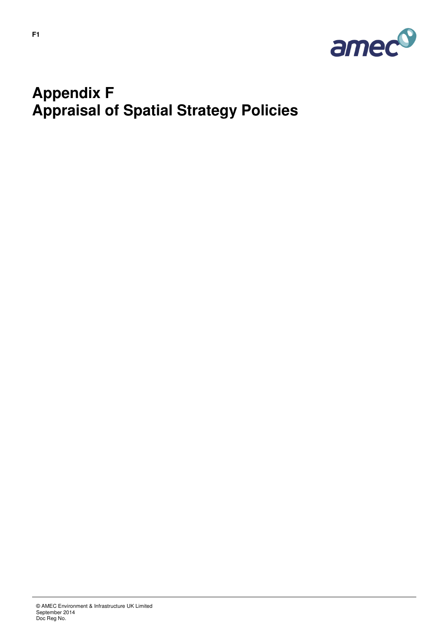

## **Appendix F Appraisal of Spatial Strategy Policies**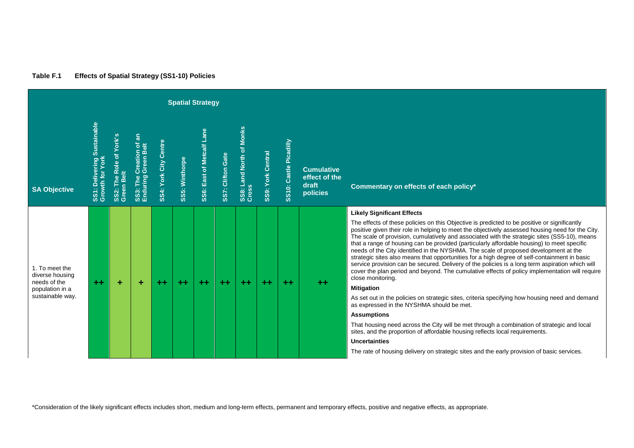| Table F.1 | <b>Effects of Spatial Strategy (SS1-10) Policies</b> |
|-----------|------------------------------------------------------|
|-----------|------------------------------------------------------|

|                                                   |                                                |                                          |                                                                         |                       |                | <b>Spatial Strategy</b>             |                   |                                   |                   |                        |                                                         |                                                                                                                                                                                                                                                                                                                                                                                                                                                                                                                                                                                                                                                                                                                                                                                                                                                       |
|---------------------------------------------------|------------------------------------------------|------------------------------------------|-------------------------------------------------------------------------|-----------------------|----------------|-------------------------------------|-------------------|-----------------------------------|-------------------|------------------------|---------------------------------------------------------|-------------------------------------------------------------------------------------------------------------------------------------------------------------------------------------------------------------------------------------------------------------------------------------------------------------------------------------------------------------------------------------------------------------------------------------------------------------------------------------------------------------------------------------------------------------------------------------------------------------------------------------------------------------------------------------------------------------------------------------------------------------------------------------------------------------------------------------------------------|
| <b>SA Objective</b>                               | SS1: Delivering Sustainable<br>Growth for York | York's<br>SS2: The Role of<br>Green Belt | $5^{\omega}$<br>$\overline{\mathbf{s}}$<br>SS3: The Cre<br>Enduring Gre | SS4: York City Centre | SS5: Winthorpe | Lane<br><b>SS6: East of Metcalf</b> | SS7: Clifton Gate | SS8: Land North of Monks<br>Cross | SS9: York Central | SS10: Castle Picadilly | <b>Cumulative</b><br>effect of the<br>draft<br>policies | Commentary on effects of each policy*                                                                                                                                                                                                                                                                                                                                                                                                                                                                                                                                                                                                                                                                                                                                                                                                                 |
| 1. To meet the<br>diverse housing<br>needs of the | $++$                                           | ÷                                        | ÷                                                                       | $+ +$                 | $+ +$          | $+ +$                               | $++$              | $++$                              | $++$              | $+ +$                  | $+ +$                                                   | <b>Likely Significant Effects</b><br>The effects of these policies on this Objective is predicted to be positive or significantly<br>positive given their role in helping to meet the objectively assessed housing need for the City.<br>The scale of provision, cumulatively and associated with the strategic sites (SS5-10), means<br>that a range of housing can be provided (particularly affordable housing) to meet specific<br>needs of the City identified in the NYSHMA. The scale of proposed development at the<br>strategic sites also means that opportunities for a high degree of self-containment in basic<br>service provision can be secured. Delivery of the policies is a long term aspiration which will<br>cover the plan period and beyond. The cumulative effects of policy implementation will require<br>close monitoring. |
| population in a<br>sustainable way.               |                                                |                                          |                                                                         |                       |                |                                     |                   |                                   |                   |                        |                                                         | <b>Mitigation</b><br>As set out in the policies on strategic sites, criteria specifying how housing need and demand<br>as expressed in the NYSHMA should be met.<br><b>Assumptions</b><br>That housing need across the City will be met through a combination of strategic and local                                                                                                                                                                                                                                                                                                                                                                                                                                                                                                                                                                  |
|                                                   |                                                |                                          |                                                                         |                       |                |                                     |                   |                                   |                   |                        |                                                         | sites, and the proportion of affordable housing reflects local requirements.<br><b>Uncertainties</b><br>The rate of housing delivery on strategic sites and the early provision of basic services.                                                                                                                                                                                                                                                                                                                                                                                                                                                                                                                                                                                                                                                    |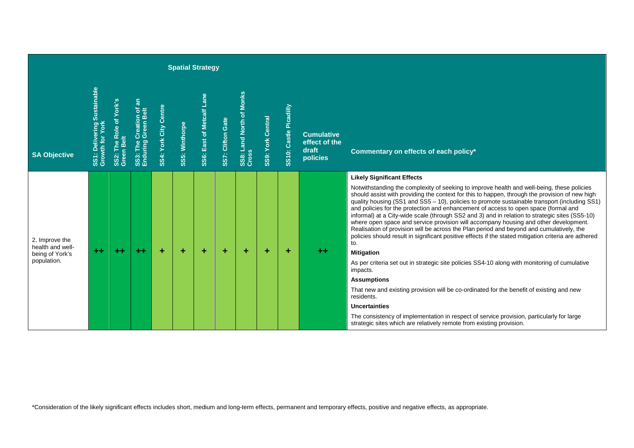|                                                       |                                                                 |                                                                     |                                                |                       |                | <b>Spatial Strategy</b>   |                   |                                   |                   |                        |                                                         |                                                                                                                                                                                                                                                                                                                                                                                                                                                                                                                                                                                                                                                                                                                                                                                                                                                     |
|-------------------------------------------------------|-----------------------------------------------------------------|---------------------------------------------------------------------|------------------------------------------------|-----------------------|----------------|---------------------------|-------------------|-----------------------------------|-------------------|------------------------|---------------------------------------------------------|-----------------------------------------------------------------------------------------------------------------------------------------------------------------------------------------------------------------------------------------------------------------------------------------------------------------------------------------------------------------------------------------------------------------------------------------------------------------------------------------------------------------------------------------------------------------------------------------------------------------------------------------------------------------------------------------------------------------------------------------------------------------------------------------------------------------------------------------------------|
| <b>SA Objective</b>                                   | : Delivering Sustainable<br>SS1: Delivering:<br>Growth for York | York's<br>2: The Role of '<br>en Belt<br>SS <sub>2</sub> :<br>Greer | SS3: The Creation of an<br>Enduring Green Belt | SS4: York City Centre | SS5: Winthorpe | SS6: East of Metcalf Lane | SS7: Clifton Gate | SS8: Land North of Monks<br>Cross | SS9: York Central | SS10: Castle Picadilly | <b>Cumulative</b><br>effect of the<br>draft<br>policies | Commentary on effects of each policy*                                                                                                                                                                                                                                                                                                                                                                                                                                                                                                                                                                                                                                                                                                                                                                                                               |
| 2. Improve the<br>health and well-<br>being of York's | $+ +$                                                           | $+ +$                                                               | $+ +$                                          | ٠                     | ÷              | ÷                         | ٠                 | ÷                                 | ٠                 | ÷                      | $^{\tiny{++}}$                                          | <b>Likely Significant Effects</b><br>Notwithstanding the complexity of seeking to improve health and well-being, these policies<br>should assist with providing the context for this to happen, through the provision of new high<br>quality housing (SS1 and SS5 - 10), policies to promote sustainable transport (including SS1)<br>and policies for the protection and enhancement of access to open space (formal and<br>informal) at a City-wide scale (through SS2 and 3) and in relation to strategic sites (SS5-10)<br>where open space and service provision will accompany housing and other development.<br>Realisation of provision will be across the Plan period and beyond and cumulatively, the<br>policies should result in significant positive effects if the stated mitigation criteria are adhered<br>to.<br><b>Mitigation</b> |
| population.                                           |                                                                 |                                                                     |                                                |                       |                |                           |                   |                                   |                   |                        |                                                         | As per criteria set out in strategic site policies SS4-10 along with monitoring of cumulative<br>impacts.<br><b>Assumptions</b><br>That new and existing provision will be co-ordinated for the benefit of existing and new<br>residents.<br><b>Uncertainties</b><br>The consistency of implementation in respect of service provision, particularly for large<br>strategic sites which are relatively remote from existing provision.                                                                                                                                                                                                                                                                                                                                                                                                              |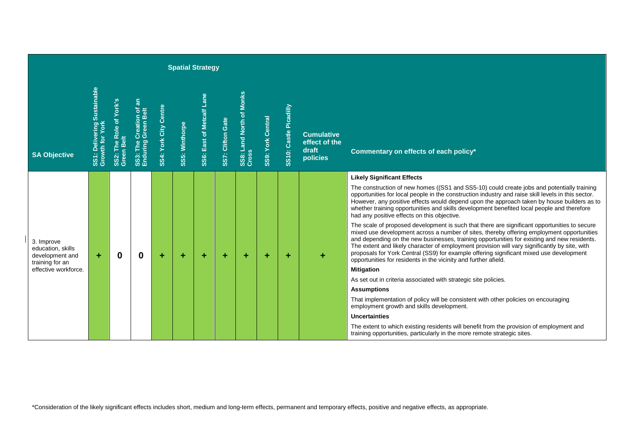|                                                                       |                                                |                                       |                                                |                       |                | <b>Spatial Strategy</b>          |                   |                                   |                          |                           |                                                         |                                                                                                                                                                                                                                                                                                                                                                                                                                                                                                                                                         |
|-----------------------------------------------------------------------|------------------------------------------------|---------------------------------------|------------------------------------------------|-----------------------|----------------|----------------------------------|-------------------|-----------------------------------|--------------------------|---------------------------|---------------------------------------------------------|---------------------------------------------------------------------------------------------------------------------------------------------------------------------------------------------------------------------------------------------------------------------------------------------------------------------------------------------------------------------------------------------------------------------------------------------------------------------------------------------------------------------------------------------------------|
| <b>SA Objective</b>                                                   | SS1: Delivering Sustainable<br>Growth for York | SS2: The Role of York's<br>Green Belt | SS3: The Creation of an<br>Enduring Green Belt | SS4: York City Centre | SS5: Winthorpe | <b>SS6: East of Metcalf Lane</b> | SS7: Clifton Gate | SS8: Land North of Monks<br>Cross | <b>SS9: York Central</b> | Castle Picadilly<br>SS10: | <b>Cumulative</b><br>effect of the<br>draft<br>policies | Commentary on effects of each policy*                                                                                                                                                                                                                                                                                                                                                                                                                                                                                                                   |
|                                                                       |                                                |                                       |                                                |                       |                |                                  |                   |                                   |                          |                           |                                                         | <b>Likely Significant Effects</b>                                                                                                                                                                                                                                                                                                                                                                                                                                                                                                                       |
|                                                                       |                                                |                                       |                                                |                       |                |                                  |                   |                                   |                          |                           |                                                         | The construction of new homes ((SS1 and SS5-10) could create jobs and potentially training<br>opportunities for local people in the construction industry and raise skill levels in this sector.<br>However, any positive effects would depend upon the approach taken by house builders as to<br>whether training opportunities and skills development benefited local people and therefore<br>had any positive effects on this objective.                                                                                                             |
| 3. Improve<br>education, skills<br>development and<br>training for an | ÷                                              | $\bf{0}$                              | $\mathbf 0$                                    | ٠                     | ÷              | ÷                                |                   | ÷                                 | ÷                        | ÷                         | ٠                                                       | The scale of proposed development is such that there are significant opportunities to secure<br>mixed use development across a number of sites, thereby offering employment opportunities<br>and depending on the new businesses, training opportunities for existing and new residents.<br>The extent and likely character of employment provision will vary significantly by site, with<br>proposals for York Central (SS9) for example offering significant mixed use development<br>opportunities for residents in the vicinity and further afield. |
| effective workforce.                                                  |                                                |                                       |                                                |                       |                |                                  |                   |                                   |                          |                           |                                                         | <b>Mitigation</b>                                                                                                                                                                                                                                                                                                                                                                                                                                                                                                                                       |
|                                                                       |                                                |                                       |                                                |                       |                |                                  |                   |                                   |                          |                           |                                                         | As set out in criteria associated with strategic site policies.                                                                                                                                                                                                                                                                                                                                                                                                                                                                                         |
|                                                                       |                                                |                                       |                                                |                       |                |                                  |                   |                                   |                          |                           |                                                         | <b>Assumptions</b>                                                                                                                                                                                                                                                                                                                                                                                                                                                                                                                                      |
|                                                                       |                                                |                                       |                                                |                       |                |                                  |                   |                                   |                          |                           |                                                         | That implementation of policy will be consistent with other policies on encouraging<br>employment growth and skills development.                                                                                                                                                                                                                                                                                                                                                                                                                        |
|                                                                       |                                                |                                       |                                                |                       |                |                                  |                   |                                   |                          |                           |                                                         | <b>Uncertainties</b>                                                                                                                                                                                                                                                                                                                                                                                                                                                                                                                                    |
|                                                                       |                                                |                                       |                                                |                       |                |                                  |                   |                                   |                          |                           |                                                         | The extent to which existing residents will benefit from the provision of employment and<br>training opportunities, particularly in the more remote strategic sites.                                                                                                                                                                                                                                                                                                                                                                                    |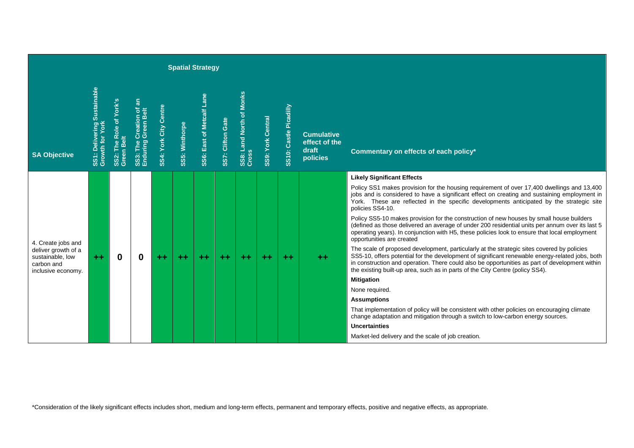|                                                                                                   |                                                |                                       |                                                  |                       |                | <b>Spatial Strategy</b>   |                   |                                   |                          |                        |                                                         |                                                                                                                                                                                                                                                                                                                                                                                                                                                                                                                                                                                                                   |
|---------------------------------------------------------------------------------------------------|------------------------------------------------|---------------------------------------|--------------------------------------------------|-----------------------|----------------|---------------------------|-------------------|-----------------------------------|--------------------------|------------------------|---------------------------------------------------------|-------------------------------------------------------------------------------------------------------------------------------------------------------------------------------------------------------------------------------------------------------------------------------------------------------------------------------------------------------------------------------------------------------------------------------------------------------------------------------------------------------------------------------------------------------------------------------------------------------------------|
| <b>SA Objective</b>                                                                               | SS1: Delivering Sustainable<br>Growth for York | SS2: The Role of York's<br>Green Belt | ã<br>SS3: The Creation of<br>Enduring Green Belt | SS4: York City Centre | SS5: Winthorpe | SS6: East of Metcalf Lane | SS7: Clifton Gate | SS8: Land North of Monks<br>Cross | <b>SS9: York Central</b> | SS10: Castle Picadilly | <b>Cumulative</b><br>effect of the<br>draft<br>policies | Commentary on effects of each policy*                                                                                                                                                                                                                                                                                                                                                                                                                                                                                                                                                                             |
|                                                                                                   |                                                |                                       |                                                  |                       |                |                           |                   |                                   |                          |                        |                                                         | <b>Likely Significant Effects</b><br>Policy SS1 makes provision for the housing requirement of over 17,400 dwellings and 13,400<br>jobs and is considered to have a significant effect on creating and sustaining employment in<br>York. These are reflected in the specific developments anticipated by the strategic site<br>policies SS4-10.<br>Policy SS5-10 makes provision for the construction of new houses by small house builders                                                                                                                                                                       |
| 4. Create jobs and<br>deliver growth of a<br>sustainable, low<br>carbon and<br>inclusive economy. | $+ +$                                          | $\bf{0}$                              | 0                                                | $+ +$                 | $++$           | $++$                      | $++$              | $+ +$                             | $+ +$                    | $++$                   | $+ +$                                                   | (defined as those delivered an average of under 200 residential units per annum over its last 5<br>operating years). In conjunction with H5, these policies look to ensure that local employment<br>opportunities are created<br>The scale of proposed development, particularly at the strategic sites covered by policies<br>SS5-10, offers potential for the development of significant renewable energy-related jobs, both<br>in construction and operation. There could also be opportunities as part of development within<br>the existing built-up area, such as in parts of the City Centre (policy SS4). |
|                                                                                                   |                                                |                                       |                                                  |                       |                |                           |                   |                                   |                          |                        |                                                         | <b>Mitigation</b><br>None required.                                                                                                                                                                                                                                                                                                                                                                                                                                                                                                                                                                               |
|                                                                                                   |                                                |                                       |                                                  |                       |                |                           |                   |                                   |                          |                        |                                                         | <b>Assumptions</b>                                                                                                                                                                                                                                                                                                                                                                                                                                                                                                                                                                                                |
|                                                                                                   |                                                |                                       |                                                  |                       |                |                           |                   |                                   |                          |                        |                                                         | That implementation of policy will be consistent with other policies on encouraging climate<br>change adaptation and mitigation through a switch to low-carbon energy sources.                                                                                                                                                                                                                                                                                                                                                                                                                                    |
|                                                                                                   |                                                |                                       |                                                  |                       |                |                           |                   |                                   |                          |                        |                                                         | <b>Uncertainties</b>                                                                                                                                                                                                                                                                                                                                                                                                                                                                                                                                                                                              |
|                                                                                                   |                                                |                                       |                                                  |                       |                |                           |                   |                                   |                          |                        |                                                         | Market-led delivery and the scale of job creation.                                                                                                                                                                                                                                                                                                                                                                                                                                                                                                                                                                |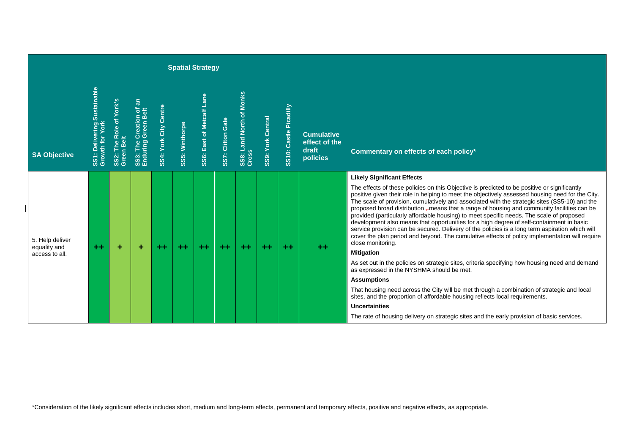|                                 |                                                |                                                                       |                                                |                       | <b>Spatial Strategy</b> |                                  |                   |                                   |                          |                           |                                                         |                                                                                                                                                                                                                                                                                                                                                                                                                                                                                                                                                                                                                                                                                                                                                                                                                                                        |
|---------------------------------|------------------------------------------------|-----------------------------------------------------------------------|------------------------------------------------|-----------------------|-------------------------|----------------------------------|-------------------|-----------------------------------|--------------------------|---------------------------|---------------------------------------------------------|--------------------------------------------------------------------------------------------------------------------------------------------------------------------------------------------------------------------------------------------------------------------------------------------------------------------------------------------------------------------------------------------------------------------------------------------------------------------------------------------------------------------------------------------------------------------------------------------------------------------------------------------------------------------------------------------------------------------------------------------------------------------------------------------------------------------------------------------------------|
| <b>SA Objective</b>             | SS1: Delivering Sustainable<br>Growth for York | i2: The Role of York's<br>een Belt<br>SS2:<br>$\overline{\mathbf{G}}$ | SS3: The Creation of an<br>Enduring Green Belt | SS4: York City Centre | SS5: Winthorpe          | <b>SS6: East of Metcalf Lane</b> | SS7: Clifton Gate | SS8: Land North of Monks<br>Cross | <b>SS9: York Central</b> | Picadilly<br>SS10: Castle | <b>Cumulative</b><br>effect of the<br>draft<br>policies | Commentary on effects of each policy*                                                                                                                                                                                                                                                                                                                                                                                                                                                                                                                                                                                                                                                                                                                                                                                                                  |
| 5. Help deliver<br>equality and | $++$                                           | ٠                                                                     | ÷                                              | $+ +$                 | $+ +$                   | $++$                             | $++$              | $++$                              | $++$                     | $+ +$                     | $+ +$                                                   | <b>Likely Significant Effects</b><br>The effects of these policies on this Objective is predicted to be positive or significantly<br>positive given their role in helping to meet the objectively assessed housing need for the City.<br>The scale of provision, cumulatively and associated with the strategic sites (SS5-10) and the<br>proposed broad distribution -means that a range of housing and community facilities can be<br>provided (particularly affordable housing) to meet specific needs. The scale of proposed<br>development also means that opportunities for a high degree of self-containment in basic<br>service provision can be secured. Delivery of the policies is a long term aspiration which will<br>cover the plan period and beyond. The cumulative effects of policy implementation will require<br>close monitoring. |
| access to all.                  |                                                |                                                                       |                                                |                       |                         |                                  |                   |                                   |                          |                           |                                                         | <b>Mitigation</b><br>As set out in the policies on strategic sites, criteria specifying how housing need and demand<br>as expressed in the NYSHMA should be met.                                                                                                                                                                                                                                                                                                                                                                                                                                                                                                                                                                                                                                                                                       |
|                                 |                                                |                                                                       |                                                |                       |                         |                                  |                   |                                   |                          |                           |                                                         | <b>Assumptions</b>                                                                                                                                                                                                                                                                                                                                                                                                                                                                                                                                                                                                                                                                                                                                                                                                                                     |
|                                 |                                                |                                                                       |                                                |                       |                         |                                  |                   |                                   |                          |                           |                                                         | That housing need across the City will be met through a combination of strategic and local<br>sites, and the proportion of affordable housing reflects local requirements.                                                                                                                                                                                                                                                                                                                                                                                                                                                                                                                                                                                                                                                                             |
|                                 |                                                |                                                                       |                                                |                       |                         |                                  |                   |                                   |                          |                           |                                                         | Uncertainties                                                                                                                                                                                                                                                                                                                                                                                                                                                                                                                                                                                                                                                                                                                                                                                                                                          |
|                                 |                                                |                                                                       |                                                |                       |                         |                                  |                   |                                   |                          |                           |                                                         | The rate of housing delivery on strategic sites and the early provision of basic services.                                                                                                                                                                                                                                                                                                                                                                                                                                                                                                                                                                                                                                                                                                                                                             |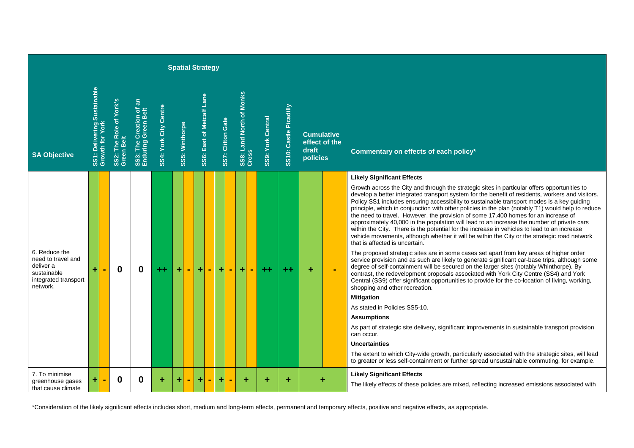|                                                                                                     |                                                |                                       |                                                |                       |                |           | <b>Spatial Strategy</b>   |                   |                                   |                   |                           |                   |                                    |                                                                                                                                                                                                                                                                                                                                                                                                                                                                                                                                                                                                                                                                                                                                                                                                                                                               |
|-----------------------------------------------------------------------------------------------------|------------------------------------------------|---------------------------------------|------------------------------------------------|-----------------------|----------------|-----------|---------------------------|-------------------|-----------------------------------|-------------------|---------------------------|-------------------|------------------------------------|---------------------------------------------------------------------------------------------------------------------------------------------------------------------------------------------------------------------------------------------------------------------------------------------------------------------------------------------------------------------------------------------------------------------------------------------------------------------------------------------------------------------------------------------------------------------------------------------------------------------------------------------------------------------------------------------------------------------------------------------------------------------------------------------------------------------------------------------------------------|
| <b>SA Objective</b>                                                                                 | SS1: Delivering Sustainable<br>Growth for York | SS2: The Role of York's<br>Green Belt | SS3: The Creation of an<br>Enduring Green Belt | SS4: York City Centre | SS5: Winthorpe |           | SS6: East of Metcalf Lane | SS7: Clifton Gate | SS8: Land North of Monks<br>Cross | SS9: York Central | Castle Picadilly<br>SS10: | draft<br>policies | <b>Cumulative</b><br>effect of the | Commentary on effects of each policy*                                                                                                                                                                                                                                                                                                                                                                                                                                                                                                                                                                                                                                                                                                                                                                                                                         |
|                                                                                                     |                                                |                                       |                                                |                       |                |           |                           |                   |                                   |                   |                           |                   |                                    | <b>Likely Significant Effects</b><br>Growth across the City and through the strategic sites in particular offers opportunities to<br>develop a better integrated transport system for the benefit of residents, workers and visitors.<br>Policy SS1 includes ensuring accessibility to sustainable transport modes is a key guiding<br>principle, which in conjunction with other policies in the plan (notably T1) would help to reduce<br>the need to travel. However, the provision of some 17,400 homes for an increase of<br>approximately 40,000 in the population will lead to an increase the number of private cars<br>within the City. There is the potential for the increase in vehicles to lead to an increase<br>vehicle movements, although whether it will be within the City or the strategic road network<br>that is affected is uncertain. |
| 6. Reduce the<br>need to travel and<br>deliver a<br>sustainable<br>integrated transport<br>network. | ÷                                              | 0                                     | 0                                              |                       | ÷              | $\ddot{}$ | $\blacksquare$            | ÷                 | $\ddot{}$                         | $+ +$             | $+ +$                     | ÷                 | ÷                                  | The proposed strategic sites are in some cases set apart from key areas of higher order<br>service provision and as such are likely to generate significant car-base trips, although some<br>degree of self-containment will be secured on the larger sites (notably Whinthorpe). By<br>contrast, the redevelopment proposals associated with York City Centre (SS4) and York<br>Central (SS9) offer significant opportunities to provide for the co-location of living, working,<br>shopping and other recreation.<br><b>Mitigation</b><br>As stated in Policies SS5-10.<br><b>Assumptions</b><br>As part of strategic site delivery, significant improvements in sustainable transport provision<br>can occur.<br>Uncertainties                                                                                                                             |
| 7. To minimise<br>greenhouse gases<br>that cause climate                                            | ÷                                              | 0                                     | 0                                              | ٠                     |                | ٠         |                           | ٠                 | ۰                                 |                   |                           |                   |                                    | The extent to which City-wide growth, particularly associated with the strategic sites, will lead<br>to greater or less self-containment or further spread unsustainable commuting, for example.<br><b>Likely Significant Effects</b><br>The likely effects of these policies are mixed, reflecting increased emissions associated with                                                                                                                                                                                                                                                                                                                                                                                                                                                                                                                       |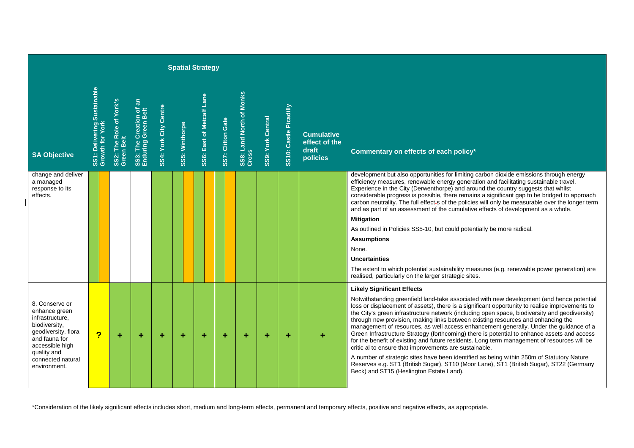|                                                                                                                                                                                    |                                                                |                                       |                                                  |                       |                       | <b>Spatial Strategy</b>   |                   |                                             |                          |                        |                                                         |                                                                                                                                                                                                                                                                                                                                                                                                                                                                                                                                                                                                                                                                                                                                                                                                                                                                                                                                                                                                             |
|------------------------------------------------------------------------------------------------------------------------------------------------------------------------------------|----------------------------------------------------------------|---------------------------------------|--------------------------------------------------|-----------------------|-----------------------|---------------------------|-------------------|---------------------------------------------|--------------------------|------------------------|---------------------------------------------------------|-------------------------------------------------------------------------------------------------------------------------------------------------------------------------------------------------------------------------------------------------------------------------------------------------------------------------------------------------------------------------------------------------------------------------------------------------------------------------------------------------------------------------------------------------------------------------------------------------------------------------------------------------------------------------------------------------------------------------------------------------------------------------------------------------------------------------------------------------------------------------------------------------------------------------------------------------------------------------------------------------------------|
| <b>SA Objective</b>                                                                                                                                                                | Delivering Sustainable<br>SS1: Delivering S<br>Growth for York | SS2: The Role of York's<br>Green Belt | a<br>SS3: The Creation of<br>Enduring Green Belt | SS4: York City Centre | <b>SS5: Winthorpe</b> | SS6: East of Metcalf Lane | SS7: Clifton Gate | <b>Monks</b><br>SS8: Land North of<br>Cross | <b>SS9: York Central</b> | SS10: Castle Picadilly | <b>Cumulative</b><br>effect of the<br>draft<br>policies | Commentary on effects of each policy*                                                                                                                                                                                                                                                                                                                                                                                                                                                                                                                                                                                                                                                                                                                                                                                                                                                                                                                                                                       |
| change and deliver<br>a managed<br>response to its<br>effects.                                                                                                                     |                                                                |                                       |                                                  |                       |                       |                           |                   |                                             |                          |                        |                                                         | development but also opportunities for limiting carbon dioxide emissions through energy<br>efficiency measures, renewable energy generation and facilitating sustainable travel.<br>Experience in the City (Derwenthorpe) and around the country suggests that whilst<br>considerable progress is possible, there remains a significant gap to be bridged to approach<br>carbon neutrality. The full effect-s of the policies will only be measurable over the longer term<br>and as part of an assessment of the cumulative effects of development as a whole.<br><b>Mitigation</b><br>As outlined in Policies SS5-10, but could potentially be more radical.<br><b>Assumptions</b><br>None.<br><b>Uncertainties</b><br>The extent to which potential sustainability measures (e.g. renewable power generation) are<br>realised, particularly on the larger strategic sites.                                                                                                                               |
| 8. Conserve or<br>enhance green<br>infrastructure,<br>biodiversity,<br>geodiversity, flora<br>and fauna for<br>accessible high<br>quality and<br>connected natural<br>environment. | $\overline{\mathbf{?}}$                                        | ÷                                     | ÷                                                | ٠                     | ٠                     | ÷                         | ÷                 | ٠                                           | ٠                        | ٠                      |                                                         | <b>Likely Significant Effects</b><br>Notwithstanding greenfield land-take associated with new development (and hence potential<br>loss or displacement of assets), there is a significant opportunity to realise improvements to<br>the City's green infrastructure network (including open space, biodiversity and geodiversity)<br>through new provision, making links between existing resources and enhancing the<br>management of resources, as well access enhancement generally. Under the guidance of a<br>Green Infrastructure Strategy (forthcoming) there is potential to enhance assets and access<br>for the benefit of existing and future residents. Long term management of resources will be<br>critic al to ensure that improvements are sustainable.<br>A number of strategic sites have been identified as being within 250m of Statutory Nature<br>Reserves e.g. ST1 (British Sugar), ST10 (Moor Lane), ST1 (British Sugar), ST22 (Germany<br>Beck) and ST15 (Heslington Estate Land). |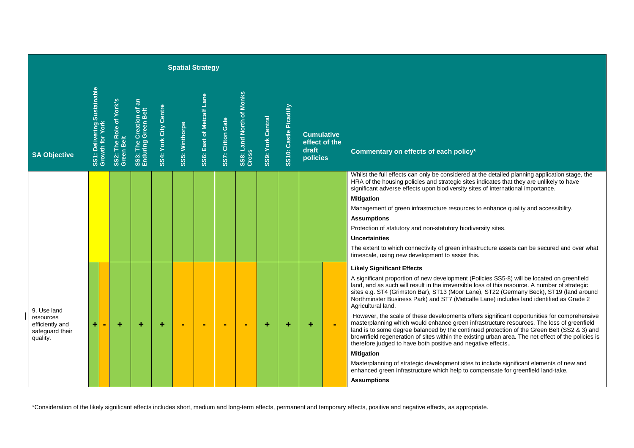|                                                                            |                                                |                                       |                                                                        |                       |                | <b>Spatial Strategy</b>   |                   |                                   |                          |                        |                                        |               |                                                                                                                                                                                                                                                                                                                                                                                                                                                                                                                                                                                                                                                                                                                                                                                                                                                                                                                                                                                                                                                                                                                                           |
|----------------------------------------------------------------------------|------------------------------------------------|---------------------------------------|------------------------------------------------------------------------|-----------------------|----------------|---------------------------|-------------------|-----------------------------------|--------------------------|------------------------|----------------------------------------|---------------|-------------------------------------------------------------------------------------------------------------------------------------------------------------------------------------------------------------------------------------------------------------------------------------------------------------------------------------------------------------------------------------------------------------------------------------------------------------------------------------------------------------------------------------------------------------------------------------------------------------------------------------------------------------------------------------------------------------------------------------------------------------------------------------------------------------------------------------------------------------------------------------------------------------------------------------------------------------------------------------------------------------------------------------------------------------------------------------------------------------------------------------------|
| <b>SA Objective</b>                                                        | SS1: Delivering Sustainable<br>Growth for York | SS2: The Role of York's<br>Green Belt | $\overline{\mathbf{a}}$<br>SS3: The Creation of<br>Enduring Green Belt | SS4: York City Centre | SS5: Winthorpe | SS6: East of Metcalf Lane | SS7: Clifton Gate | SS8: Land North of Monks<br>Cross | <b>SS9: York Central</b> | SS10: Castle Picadilly | <b>Cumulative</b><br>draft<br>policies | effect of the | Commentary on effects of each policy*                                                                                                                                                                                                                                                                                                                                                                                                                                                                                                                                                                                                                                                                                                                                                                                                                                                                                                                                                                                                                                                                                                     |
|                                                                            |                                                |                                       |                                                                        |                       |                |                           |                   |                                   |                          |                        |                                        |               | Whilst the full effects can only be considered at the detailed planning application stage, the<br>HRA of the housing policies and strategic sites indicates that they are unlikely to have<br>significant adverse effects upon biodiversity sites of international importance.<br><b>Mitigation</b><br>Management of green infrastructure resources to enhance quality and accessibility.<br><b>Assumptions</b><br>Protection of statutory and non-statutory biodiversity sites.<br><b>Uncertainties</b><br>The extent to which connectivity of green infrastructure assets can be secured and over what<br>timescale, using new development to assist this.                                                                                                                                                                                                                                                                                                                                                                                                                                                                              |
| 9. Use land<br>resources<br>efficiently and<br>safequard their<br>quality. | $\ddot{}$<br>$\blacksquare$                    | ÷                                     | ÷                                                                      | ÷                     | $\blacksquare$ | ÷                         | ×.                | <b>.</b>                          | ٠                        | ÷                      | ÷                                      |               | <b>Likely Significant Effects</b><br>A significant proportion of new development (Policies SS5-8) will be located on greenfield<br>land, and as such will result in the irreversible loss of this resource. A number of strategic<br>sites e.g. ST4 (Grimston Bar), ST13 (Moor Lane), ST22 (Germany Beck), ST19 (land around<br>Northminster Business Park) and ST7 (Metcalfe Lane) includes land identified as Grade 2<br>Agricultural land.<br>-However, the scale of these developments offers significant opportunities for comprehensive<br>masterplanning which would enhance green infrastructure resources. The loss of greenfield<br>land is to some degree balanced by the continued protection of the Green Belt (SS2 & 3) and<br>brownfield regeneration of sites within the existing urban area. The net effect of the policies is<br>therefore judged to have both positive and negative effects<br><b>Mitigation</b><br>Masterplanning of strategic development sites to include significant elements of new and<br>enhanced green infrastructure which help to compensate for greenfield land-take.<br><b>Assumptions</b> |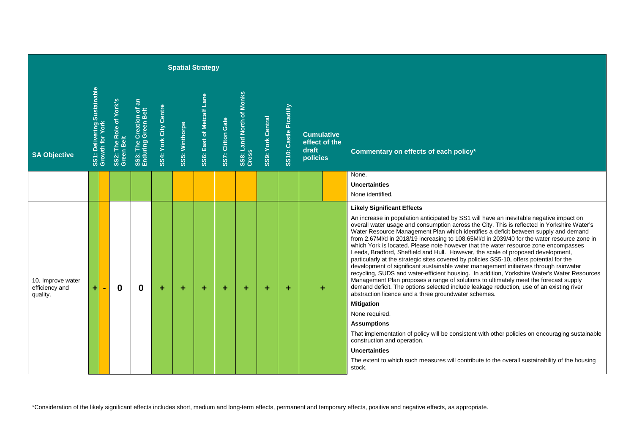|                                                 |                                                |                |                                       |                                                                        |                       |                | <b>Spatial Strategy</b>   |                   |                                             |                          |                        |                                                         |                                                                                                                                                                                                                                                                                                                                                                                                                                                                                                                                                                                                                                                                                                                                                                                                                                                                                                                                                                                                                                                                                                                                                                                                                                                                                                                                                                                                                                                                 |
|-------------------------------------------------|------------------------------------------------|----------------|---------------------------------------|------------------------------------------------------------------------|-----------------------|----------------|---------------------------|-------------------|---------------------------------------------|--------------------------|------------------------|---------------------------------------------------------|-----------------------------------------------------------------------------------------------------------------------------------------------------------------------------------------------------------------------------------------------------------------------------------------------------------------------------------------------------------------------------------------------------------------------------------------------------------------------------------------------------------------------------------------------------------------------------------------------------------------------------------------------------------------------------------------------------------------------------------------------------------------------------------------------------------------------------------------------------------------------------------------------------------------------------------------------------------------------------------------------------------------------------------------------------------------------------------------------------------------------------------------------------------------------------------------------------------------------------------------------------------------------------------------------------------------------------------------------------------------------------------------------------------------------------------------------------------------|
| <b>SA Objective</b>                             | SS1: Delivering Sustainable<br>Growth for York |                | SS2: The Role of York's<br>Green Belt | $\overline{\mathbf{a}}$<br>SS3: The Creation of<br>Enduring Green Belt | SS4: York City Centre | SS5: Winthorpe | SS6: East of Metcalf Lane | SS7: Clifton Gate | <b>Monks</b><br>SS8: Land North of<br>Cross | <b>SS9: York Central</b> | SS10: Castle Picadilly | <b>Cumulative</b><br>effect of the<br>draft<br>policies | Commentary on effects of each policy*                                                                                                                                                                                                                                                                                                                                                                                                                                                                                                                                                                                                                                                                                                                                                                                                                                                                                                                                                                                                                                                                                                                                                                                                                                                                                                                                                                                                                           |
|                                                 |                                                |                |                                       |                                                                        |                       |                |                           |                   |                                             |                          |                        |                                                         | None.<br>Uncertainties<br>None identified.                                                                                                                                                                                                                                                                                                                                                                                                                                                                                                                                                                                                                                                                                                                                                                                                                                                                                                                                                                                                                                                                                                                                                                                                                                                                                                                                                                                                                      |
| 10. Improve water<br>efficiency and<br>quality. | ÷                                              | $\blacksquare$ | $\boldsymbol{0}$                      | $\mathbf 0$                                                            | ÷                     | ٠              | ÷                         | ÷                 | ÷                                           | ٠                        | ٠                      | ÷                                                       | <b>Likely Significant Effects</b><br>An increase in population anticipated by SS1 will have an inevitable negative impact on<br>overall water usage and consumption across the City. This is reflected in Yorkshire Water's<br>Water Resource Management Plan which identifies a deficit between supply and demand<br>from 2.67Ml/d in 2018/19 increasing to 108.65Ml/d in 2039/40 for the water resource zone in<br>which York is located. Please note however that the water resource zone encompasses<br>Leeds, Bradford, Sheffield and Hull. However, the scale of proposed development,<br>particularly at the strategic sites covered by policies SS5-10, offers potential for the<br>development of significant sustainable water management initiatives through rainwater<br>recycling, SUDS and water-efficient housing. In addition, Yorkshire Water's Water Resources<br>Management Plan proposes a range of solutions to ultimately meet the forecast supply<br>demand deficit. The options selected include leakage reduction, use of an existing river<br>abstraction licence and a three groundwater schemes.<br><b>Mitigation</b><br>None required.<br><b>Assumptions</b><br>That implementation of policy will be consistent with other policies on encouraging sustainable<br>construction and operation.<br><b>Uncertainties</b><br>The extent to which such measures will contribute to the overall sustainability of the housing<br>stock. |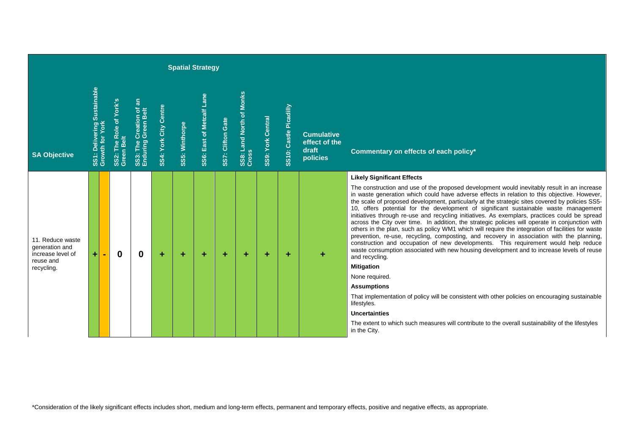|                                                                                    |                                                |                                       |                                        |                       |                | <b>Spatial Strategy</b>          |                   |                                   |                   |                        |                                                         |                                                                                                                                                                                                                                                                                                                                                                                                                                                                                                                                                                                                                                                                                                                                                                                                                                                                                                                                                                                                                                                                                                                                                                                                                                                                                                                                                                     |
|------------------------------------------------------------------------------------|------------------------------------------------|---------------------------------------|----------------------------------------|-----------------------|----------------|----------------------------------|-------------------|-----------------------------------|-------------------|------------------------|---------------------------------------------------------|---------------------------------------------------------------------------------------------------------------------------------------------------------------------------------------------------------------------------------------------------------------------------------------------------------------------------------------------------------------------------------------------------------------------------------------------------------------------------------------------------------------------------------------------------------------------------------------------------------------------------------------------------------------------------------------------------------------------------------------------------------------------------------------------------------------------------------------------------------------------------------------------------------------------------------------------------------------------------------------------------------------------------------------------------------------------------------------------------------------------------------------------------------------------------------------------------------------------------------------------------------------------------------------------------------------------------------------------------------------------|
| <b>SA Objective</b>                                                                | SS1: Delivering Sustainable<br>Growth for York | SS2: The Role of York's<br>Green Belt | a<br>മ<br>SS3: The Cre<br>Enduring Gre | SS4: York City Centre | SS5: Winthorpe | <b>SS6: East of Metcalf Lane</b> | SS7: Clifton Gate | SS8: Land North of Monks<br>Cross | SS9: York Central | SS10: Castle Picadilly | <b>Cumulative</b><br>effect of the<br>draft<br>policies | Commentary on effects of each policy*                                                                                                                                                                                                                                                                                                                                                                                                                                                                                                                                                                                                                                                                                                                                                                                                                                                                                                                                                                                                                                                                                                                                                                                                                                                                                                                               |
| 11. Reduce waste<br>generation and<br>increase level of<br>reuse and<br>recycling. | ÷۱                                             | $\bf{0}$                              | $\boldsymbol{0}$                       | ÷                     | ÷              | ÷                                | ÷                 | ÷                                 | ÷                 | ÷                      | ٠                                                       | <b>Likely Significant Effects</b><br>The construction and use of the proposed development would inevitably result in an increase<br>in waste generation which could have adverse effects in relation to this objective. However,<br>the scale of proposed development, particularly at the strategic sites covered by policies SS5-<br>10, offers potential for the development of significant sustainable waste management<br>initiatives through re-use and recycling initiatives. As exemplars, practices could be spread<br>across the City over time. In addition, the strategic policies will operate in conjunction with<br>others in the plan, such as policy WM1 which will require the integration of facilities for waste<br>prevention, re-use, recycling, composting, and recovery in association with the planning,<br>construction and occupation of new developments. This requirement would help reduce<br>waste consumption associated with new housing development and to increase levels of reuse<br>and recycling.<br><b>Mitigation</b><br>None required.<br><b>Assumptions</b><br>That implementation of policy will be consistent with other policies on encouraging sustainable<br>lifestyles.<br><b>Uncertainties</b><br>The extent to which such measures will contribute to the overall sustainability of the lifestyles<br>in the City. |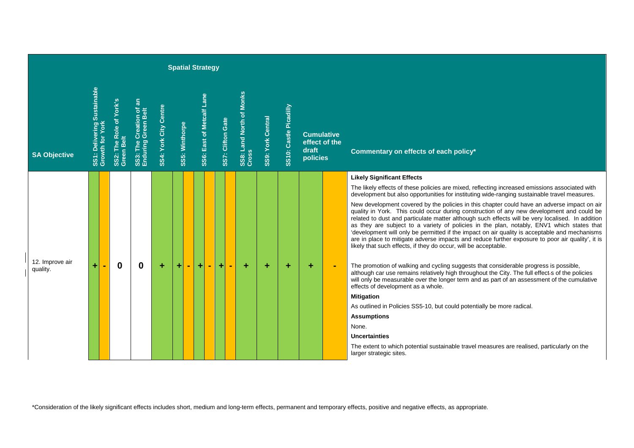|                             |                                                |                                       |                                                |                       |                       | <b>Spatial Strategy</b>   |   |                   |                                   |                          |                        |                   |                                    |                                                                                                                                                                                                                                                                                                                                                                                                                                                                                                                                                                                                                                                                   |
|-----------------------------|------------------------------------------------|---------------------------------------|------------------------------------------------|-----------------------|-----------------------|---------------------------|---|-------------------|-----------------------------------|--------------------------|------------------------|-------------------|------------------------------------|-------------------------------------------------------------------------------------------------------------------------------------------------------------------------------------------------------------------------------------------------------------------------------------------------------------------------------------------------------------------------------------------------------------------------------------------------------------------------------------------------------------------------------------------------------------------------------------------------------------------------------------------------------------------|
| <b>SA Objective</b>         | SS1: Delivering Sustainable<br>Growth for York | SS2: The Role of York's<br>Green Belt | SS3: The Creation of an<br>Enduring Green Belt | SS4: York City Centre | <b>SS5: Winthorpe</b> | SS6: East of Metcalf Lane |   | SS7: Clifton Gate | SS8: Land North of Monks<br>Cross | <b>SS9: York Central</b> | SS10: Castle Picadilly | draft<br>policies | <b>Cumulative</b><br>effect of the | Commentary on effects of each policy*                                                                                                                                                                                                                                                                                                                                                                                                                                                                                                                                                                                                                             |
|                             |                                                |                                       |                                                |                       |                       |                           |   |                   |                                   |                          |                        |                   |                                    | <b>Likely Significant Effects</b><br>The likely effects of these policies are mixed, reflecting increased emissions associated with                                                                                                                                                                                                                                                                                                                                                                                                                                                                                                                               |
|                             |                                                |                                       |                                                |                       |                       |                           |   |                   |                                   |                          |                        |                   |                                    | development but also opportunities for instituting wide-ranging sustainable travel measures.                                                                                                                                                                                                                                                                                                                                                                                                                                                                                                                                                                      |
|                             |                                                |                                       |                                                |                       |                       |                           |   |                   |                                   |                          |                        |                   |                                    | New development covered by the policies in this chapter could have an adverse impact on air<br>quality in York. This could occur during construction of any new development and could be<br>related to dust and particulate matter although such effects will be very localised. In addition<br>as they are subject to a variety of policies in the plan, notably, ENV1 which states that<br>'development will only be permitted if the impact on air quality is acceptable and mechanisms<br>are in place to mitigate adverse impacts and reduce further exposure to poor air quality', it is<br>likely that such effects, if they do occur, will be acceptable. |
| 12. Improve air<br>quality. | Ŧ                                              | $\boldsymbol{0}$                      | 0                                              | ÷                     | ٠                     | ÷<br>$\blacksquare$       | ÷ | ÷                 | ٠                                 | ÷                        | ٠                      | ÷                 |                                    | The promotion of walking and cycling suggests that considerable progress is possible,<br>although car use remains relatively high throughout the City. The full effect s of the policies<br>will only be measurable over the longer term and as part of an assessment of the cumulative<br>effects of development as a whole.                                                                                                                                                                                                                                                                                                                                     |
|                             |                                                |                                       |                                                |                       |                       |                           |   |                   |                                   |                          |                        |                   |                                    | <b>Mitigation</b>                                                                                                                                                                                                                                                                                                                                                                                                                                                                                                                                                                                                                                                 |
|                             |                                                |                                       |                                                |                       |                       |                           |   |                   |                                   |                          |                        |                   |                                    | As outlined in Policies SS5-10, but could potentially be more radical.                                                                                                                                                                                                                                                                                                                                                                                                                                                                                                                                                                                            |
|                             |                                                |                                       |                                                |                       |                       |                           |   |                   |                                   |                          |                        |                   |                                    | <b>Assumptions</b>                                                                                                                                                                                                                                                                                                                                                                                                                                                                                                                                                                                                                                                |
|                             |                                                |                                       |                                                |                       |                       |                           |   |                   |                                   |                          |                        |                   |                                    | None.                                                                                                                                                                                                                                                                                                                                                                                                                                                                                                                                                                                                                                                             |
|                             |                                                |                                       |                                                |                       |                       |                           |   |                   |                                   |                          |                        |                   |                                    | <b>Uncertainties</b>                                                                                                                                                                                                                                                                                                                                                                                                                                                                                                                                                                                                                                              |
|                             |                                                |                                       |                                                |                       |                       |                           |   |                   |                                   |                          |                        |                   |                                    | The extent to which potential sustainable travel measures are realised, particularly on the<br>larger strategic sites.                                                                                                                                                                                                                                                                                                                                                                                                                                                                                                                                            |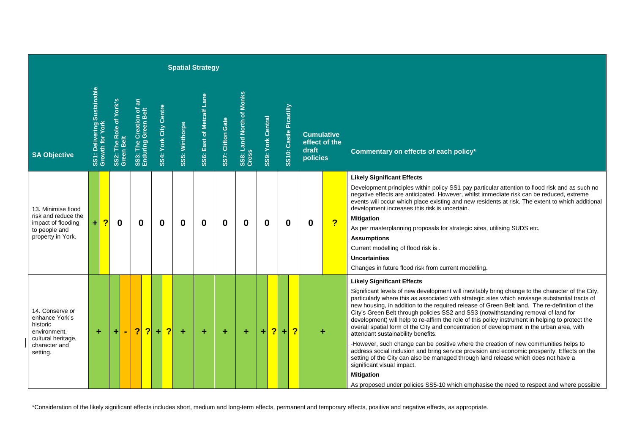| <b>Spatial Strategy</b>                                                                                          |                                                |          |                                       |  |                         |                                                |                       |                |                |                           |                   |                                   |                          |                         |                        |                         |                                                         |   |                         |                                                                                                                                                                                                                                                                                                                                                                                                                                                                                                                                                                                                                                                                                                                                                                                                                                                                                                                                                                                                                                                                                                      |
|------------------------------------------------------------------------------------------------------------------|------------------------------------------------|----------|---------------------------------------|--|-------------------------|------------------------------------------------|-----------------------|----------------|----------------|---------------------------|-------------------|-----------------------------------|--------------------------|-------------------------|------------------------|-------------------------|---------------------------------------------------------|---|-------------------------|------------------------------------------------------------------------------------------------------------------------------------------------------------------------------------------------------------------------------------------------------------------------------------------------------------------------------------------------------------------------------------------------------------------------------------------------------------------------------------------------------------------------------------------------------------------------------------------------------------------------------------------------------------------------------------------------------------------------------------------------------------------------------------------------------------------------------------------------------------------------------------------------------------------------------------------------------------------------------------------------------------------------------------------------------------------------------------------------------|
| <b>SA Objective</b>                                                                                              | SS1: Delivering Sustainable<br>Growth for York |          | SS2: The Role of York's<br>Green Belt |  |                         | SS3: The Creation of an<br>Enduring Green Belt | SS4: York City Centre |                | SS5: Winthorpe | SS6: East of Metcalf Lane | SS7: Clifton Gate | SS8: Land North of Monks<br>Cross | <b>SS9: York Central</b> |                         | SS10: Castle Picadilly |                         | <b>Cumulative</b><br>effect of the<br>draft<br>policies |   |                         | Commentary on effects of each policy*                                                                                                                                                                                                                                                                                                                                                                                                                                                                                                                                                                                                                                                                                                                                                                                                                                                                                                                                                                                                                                                                |
| 13. Minimise flood<br>risk and reduce the<br>impact of flooding<br>to people and<br>property in York.            | $\ddot{}$                                      | <u>?</u> | 0                                     |  | $\bf{0}$                |                                                | 0                     |                | $\bf{0}$       | $\bf{0}$                  | 0                 | 0                                 | $\bf{0}$                 |                         | $\bf{0}$               |                         | $\bf{0}$                                                |   | $\overline{\mathbf{r}}$ | <b>Likely Significant Effects</b><br>Development principles within policy SS1 pay particular attention to flood risk and as such no<br>negative effects are anticipated. However, whilst immediate risk can be reduced, extreme<br>events will occur which place existing and new residents at risk. The extent to which additional<br>development increases this risk is uncertain.<br><b>Mitigation</b><br>As per masterplanning proposals for strategic sites, utilising SUDS etc.<br><b>Assumptions</b><br>Current modelling of flood risk is .<br><b>Uncertainties</b><br>Changes in future flood risk from current modelling.                                                                                                                                                                                                                                                                                                                                                                                                                                                                  |
| 14. Conserve or<br>enhance York's<br>historic<br>environment,<br>cultural heritage,<br>character and<br>setting. | ÷                                              |          |                                       |  | $\overline{\mathbf{?}}$ | $\overline{\mathbf{?}}$                        | Ŧ.                    | $\overline{?}$ | ÷              | ÷                         | ÷                 | ÷                                 | ÷                        | $\overline{\mathbf{?}}$ | $\ddot{}$              | $\overline{\mathbf{?}}$ |                                                         | ٠ |                         | <b>Likely Significant Effects</b><br>Significant levels of new development will inevitably bring change to the character of the City,<br>particularly where this as associated with strategic sites which envisage substantial tracts of<br>new housing, in addition to the required release of Green Belt land. The re-definition of the<br>City's Green Belt through policies SS2 and SS3 (notwithstanding removal of land for<br>development) will help to re-affirm the role of this policy instrument in helping to protect the<br>overall spatial form of the City and concentration of development in the urban area, with<br>attendant sustainability benefits.<br>-However, such change can be positive where the creation of new communities helps to<br>address social inclusion and bring service provision and economic prosperity. Effects on the<br>setting of the City can also be managed through land release which does not have a<br>significant visual impact.<br><b>Mitigation</b><br>As proposed under policies SS5-10 which emphasise the need to respect and where possible |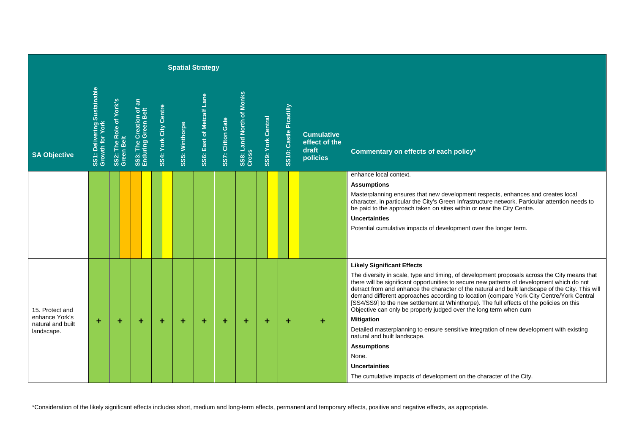| <b>Spatial Strategy</b>                                              |                                                |                                       |                                                |                       |                |                           |                   |                                             |                          |                        |                                                         |                                                                                                                                                                                                                                                                                                                                                                                                                                                                                                                                                                                                                                                                                                                                                                                                                                                                                 |
|----------------------------------------------------------------------|------------------------------------------------|---------------------------------------|------------------------------------------------|-----------------------|----------------|---------------------------|-------------------|---------------------------------------------|--------------------------|------------------------|---------------------------------------------------------|---------------------------------------------------------------------------------------------------------------------------------------------------------------------------------------------------------------------------------------------------------------------------------------------------------------------------------------------------------------------------------------------------------------------------------------------------------------------------------------------------------------------------------------------------------------------------------------------------------------------------------------------------------------------------------------------------------------------------------------------------------------------------------------------------------------------------------------------------------------------------------|
| <b>SA Objective</b>                                                  | SS1: Delivering Sustainable<br>Growth for York | SS2: The Role of York's<br>Green Belt | SS3: The Creation of an<br>Enduring Green Belt | SS4: York City Centre | SS5: Winthorpe | SS6: East of Metcalf Lane | SS7: Clifton Gate | <b>Monks</b><br>SS8: Land North of<br>Cross | <b>SS9: York Central</b> | SS10: Castle Picadilly | <b>Cumulative</b><br>effect of the<br>draft<br>policies | Commentary on effects of each policy*                                                                                                                                                                                                                                                                                                                                                                                                                                                                                                                                                                                                                                                                                                                                                                                                                                           |
|                                                                      |                                                |                                       |                                                |                       |                |                           |                   |                                             |                          |                        |                                                         | enhance local context.<br><b>Assumptions</b><br>Masterplanning ensures that new development respects, enhances and creates local<br>character, in particular the City's Green Infrastructure network. Particular attention needs to<br>be paid to the approach taken on sites within or near the City Centre.<br>Uncertainties<br>Potential cumulative impacts of development over the longer term.                                                                                                                                                                                                                                                                                                                                                                                                                                                                             |
| 15. Protect and<br>enhance York's<br>natural and built<br>landscape. | ÷                                              | ÷                                     | ٠                                              | ÷                     | ÷              | ٠                         | ÷                 | ٠                                           | ÷                        | ÷                      | ÷                                                       | <b>Likely Significant Effects</b><br>The diversity in scale, type and timing, of development proposals across the City means that<br>there will be significant opportunities to secure new patterns of development which do not<br>detract from and enhance the character of the natural and built landscape of the City. This will<br>demand different approaches according to location (compare York City Centre/York Central<br>[SS4/SS9] to the new settlement at Whinthorpe). The full effects of the policies on this<br>Objective can only be properly judged over the long term when cum<br><b>Mitigation</b><br>Detailed masterplanning to ensure sensitive integration of new development with existing<br>natural and built landscape.<br><b>Assumptions</b><br>None.<br><b>Uncertainties</b><br>The cumulative impacts of development on the character of the City. |